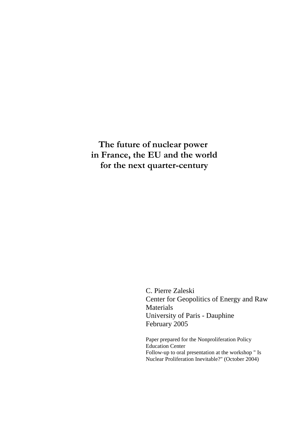## **The future of nuclear power in France, the EU and the world for the next quarter-century**

C. Pierre Zaleski Center for Geopolitics of Energy and Raw Materials University of Paris - Dauphine February 2005

Paper prepared for the Nonproliferation Policy Education Center Follow-up to oral presentation at the workshop " Is Nuclear Proliferation Inevitable?" (October 2004)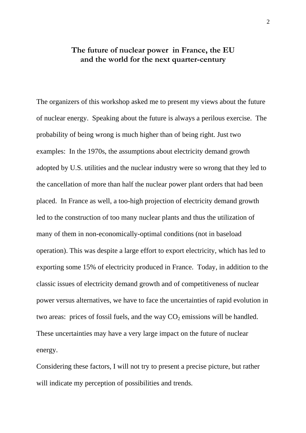### **The future of nuclear power in France, the EU and the world for the next quarter-century**

The organizers of this workshop asked me to present my views about the future of nuclear energy. Speaking about the future is always a perilous exercise. The probability of being wrong is much higher than of being right. Just two examples: In the 1970s, the assumptions about electricity demand growth adopted by U.S. utilities and the nuclear industry were so wrong that they led to the cancellation of more than half the nuclear power plant orders that had been placed. In France as well, a too-high projection of electricity demand growth led to the construction of too many nuclear plants and thus the utilization of many of them in non-economically-optimal conditions (not in baseload operation). This was despite a large effort to export electricity, which has led to exporting some 15% of electricity produced in France. Today, in addition to the classic issues of electricity demand growth and of competitiveness of nuclear power versus alternatives, we have to face the uncertainties of rapid evolution in two areas: prices of fossil fuels, and the way  $CO<sub>2</sub>$  emissions will be handled. These uncertainties may have a very large impact on the future of nuclear energy.

Considering these factors, I will not try to present a precise picture, but rather will indicate my perception of possibilities and trends.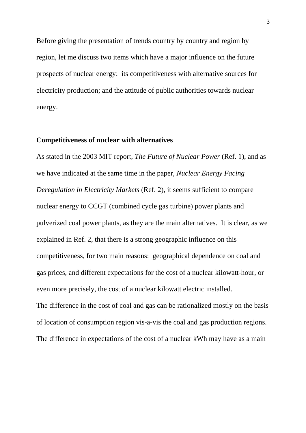Before giving the presentation of trends country by country and region by region, let me discuss two items which have a major influence on the future prospects of nuclear energy: its competitiveness with alternative sources for electricity production; and the attitude of public authorities towards nuclear energy.

#### **Competitiveness of nuclear with alternatives**

As stated in the 2003 MIT report, *The Future of Nuclear Power* (Ref. 1), and as we have indicated at the same time in the paper, *Nuclear Energy Facing Deregulation in Electricity Markets* (Ref. 2), it seems sufficient to compare nuclear energy to CCGT (combined cycle gas turbine) power plants and pulverized coal power plants, as they are the main alternatives. It is clear, as we explained in Ref. 2, that there is a strong geographic influence on this competitiveness, for two main reasons: geographical dependence on coal and gas prices, and different expectations for the cost of a nuclear kilowatt-hour, or even more precisely, the cost of a nuclear kilowatt electric installed. The difference in the cost of coal and gas can be rationalized mostly on the basis of location of consumption region vis-a-vis the coal and gas production regions.

The difference in expectations of the cost of a nuclear kWh may have as a main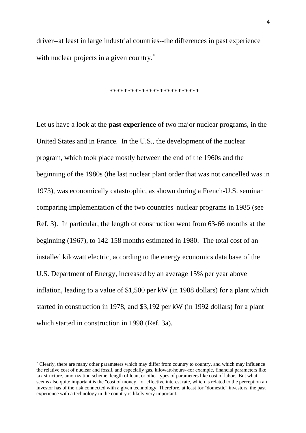driver--at least in large industrial countries--the differences in past experience with nuclear projects in a given country.<sup>[∗](#page-3-0)</sup>

\*\*\*\*\*\*\*\*\*\*\*\*\*\*\*\*\*\*\*\*\*\*\*\*\*

Let us have a look at the **past experience** of two major nuclear programs, in the United States and in France. In the U.S., the development of the nuclear program, which took place mostly between the end of the 1960s and the beginning of the 1980s (the last nuclear plant order that was not cancelled was in 1973), was economically catastrophic, as shown during a French-U.S. seminar comparing implementation of the two countries' nuclear programs in 1985 (see Ref. 3). In particular, the length of construction went from 63-66 months at the beginning (1967), to 142-158 months estimated in 1980. The total cost of an installed kilowatt electric, according to the energy economics data base of the U.S. Department of Energy, increased by an average 15% per year above inflation, leading to a value of \$1,500 per kW (in 1988 dollars) for a plant which started in construction in 1978, and \$3,192 per kW (in 1992 dollars) for a plant which started in construction in 1998 (Ref. 3a).

1

<span id="page-3-0"></span><sup>∗</sup> Clearly, there are many other parameters which may differ from country to country, and which may influence the relative cost of nuclear and fossil, and especially gas, kilowatt-hours--for example, financial parameters like tax structure, amortization scheme, length of loan, or other types of parameters like cost of labor. But what seems also quite important is the "cost of money," or effective interest rate, which is related to the perception an investor has of the risk connected with a given technology. Therefore, at least for "domestic" investors, the past experience with a technology in the country is likely very important.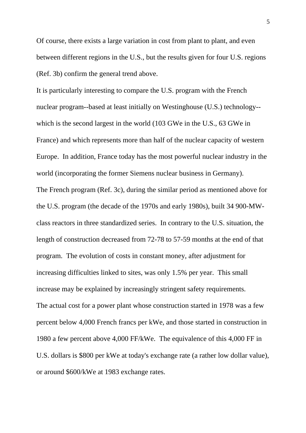Of course, there exists a large variation in cost from plant to plant, and even between different regions in the U.S., but the results given for four U.S. regions (Ref. 3b) confirm the general trend above.

It is particularly interesting to compare the U.S. program with the French nuclear program--based at least initially on Westinghouse (U.S.) technology- which is the second largest in the world (103 GWe in the U.S., 63 GWe in France) and which represents more than half of the nuclear capacity of western Europe. In addition, France today has the most powerful nuclear industry in the world (incorporating the former Siemens nuclear business in Germany). The French program (Ref. 3c), during the similar period as mentioned above for the U.S. program (the decade of the 1970s and early 1980s), built 34 900-MWclass reactors in three standardized series. In contrary to the U.S. situation, the length of construction decreased from 72-78 to 57-59 months at the end of that program. The evolution of costs in constant money, after adjustment for increasing difficulties linked to sites, was only 1.5% per year. This small increase may be explained by increasingly stringent safety requirements. The actual cost for a power plant whose construction started in 1978 was a few percent below 4,000 French francs per kWe, and those started in construction in 1980 a few percent above 4,000 FF/kWe. The equivalence of this 4,000 FF in U.S. dollars is \$800 per kWe at today's exchange rate (a rather low dollar value), or around \$600/kWe at 1983 exchange rates.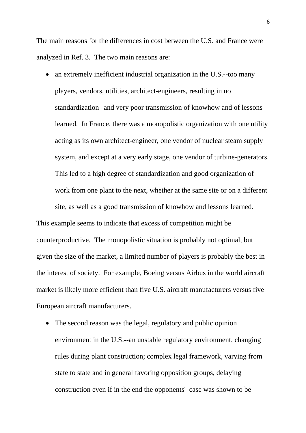The main reasons for the differences in cost between the U.S. and France were analyzed in Ref. 3. The two main reasons are:

• an extremely inefficient industrial organization in the U.S.-too many players, vendors, utilities, architect-engineers, resulting in no standardization--and very poor transmission of knowhow and of lessons learned. In France, there was a monopolistic organization with one utility acting as its own architect-engineer, one vendor of nuclear steam supply system, and except at a very early stage, one vendor of turbine-generators. This led to a high degree of standardization and good organization of work from one plant to the next, whether at the same site or on a different site, as well as a good transmission of knowhow and lessons learned.

This example seems to indicate that excess of competition might be counterproductive. The monopolistic situation is probably not optimal, but given the size of the market, a limited number of players is probably the best in the interest of society. For example, Boeing versus Airbus in the world aircraft market is likely more efficient than five U.S. aircraft manufacturers versus five European aircraft manufacturers.

• The second reason was the legal, regulatory and public opinion environment in the U.S.--an unstable regulatory environment, changing rules during plant construction; complex legal framework, varying from state to state and in general favoring opposition groups, delaying construction even if in the end the opponents' case was shown to be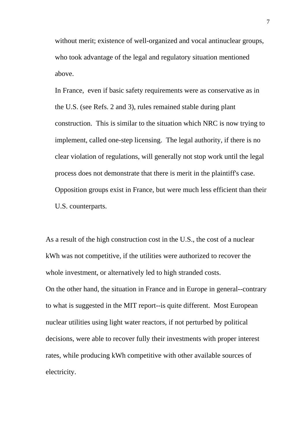without merit; existence of well-organized and vocal antinuclear groups, who took advantage of the legal and regulatory situation mentioned above.

In France, even if basic safety requirements were as conservative as in the U.S. (see Refs. 2 and 3), rules remained stable during plant construction. This is similar to the situation which NRC is now trying to implement, called one-step licensing. The legal authority, if there is no clear violation of regulations, will generally not stop work until the legal process does not demonstrate that there is merit in the plaintiff's case. Opposition groups exist in France, but were much less efficient than their U.S. counterparts.

As a result of the high construction cost in the U.S., the cost of a nuclear kWh was not competitive, if the utilities were authorized to recover the whole investment, or alternatively led to high stranded costs. On the other hand, the situation in France and in Europe in general--contrary to what is suggested in the MIT report--is quite different. Most European nuclear utilities using light water reactors, if not perturbed by political decisions, were able to recover fully their investments with proper interest rates, while producing kWh competitive with other available sources of electricity.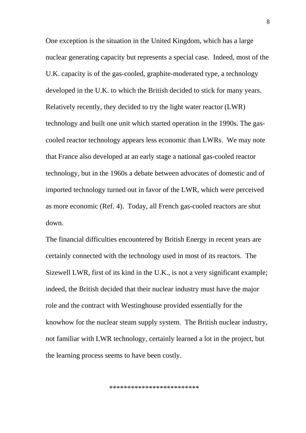One exception is the situation in the United Kingdom, which has a large nuclear generating capacity but represents a special case. Indeed, most of the U.K. capacity is of the gas-cooled, graphite-moderated type, a technology developed in the U.K. to which the British decided to stick for many years. Relatively recently, they decided to try the light water reactor (LWR) technology and built one unit which started operation in the 1990s. The gascooled reactor technology appears less economic than LWRs. We may note that France also developed at an early stage a national gas-cooled reactor technology, but in the 1960s a debate between advocates of domestic and of imported technology turned out in favor of the LWR, which were perceived as more economic (Ref. 4). Today, all French gas-cooled reactors are shut down.

The financial difficulties encountered by British Energy in recent years are certainly connected with the technology used in most of its reactors. The Sizewell LWR, first of its kind in the U.K., is not a very significant example; indeed, the British decided that their nuclear industry must have the major role and the contract with Westinghouse provided essentially for the knowhow for the nuclear steam supply system. The British nuclear industry, not familiar with LWR technology, certainly learned a lot in the project, but the learning process seems to have been costly.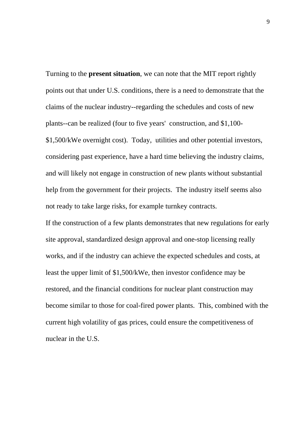Turning to the **present situation**, we can note that the MIT report rightly points out that under U.S. conditions, there is a need to demonstrate that the claims of the nuclear industry--regarding the schedules and costs of new plants--can be realized (four to five years' construction, and \$1,100- \$1,500/kWe overnight cost). Today, utilities and other potential investors, considering past experience, have a hard time believing the industry claims, and will likely not engage in construction of new plants without substantial help from the government for their projects. The industry itself seems also not ready to take large risks, for example turnkey contracts.

If the construction of a few plants demonstrates that new regulations for early site approval, standardized design approval and one-stop licensing really works, and if the industry can achieve the expected schedules and costs, at least the upper limit of \$1,500/kWe, then investor confidence may be restored, and the financial conditions for nuclear plant construction may become similar to those for coal-fired power plants. This, combined with the current high volatility of gas prices, could ensure the competitiveness of nuclear in the U.S.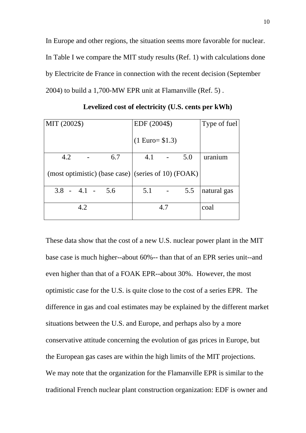In Europe and other regions, the situation seems more favorable for nuclear. In Table I we compare the MIT study results (Ref. 1) with calculations done by Electricite de France in connection with the recent decision (September 2004) to build a 1,700-MW EPR unit at Flamanville (Ref. 5) .

| MIT (2002\$)                                            | EDF (2004\$)              | Type of fuel |
|---------------------------------------------------------|---------------------------|--------------|
|                                                         | $(1 \text{ Euro} = $1.3)$ |              |
| 4.2<br>6.7                                              | 4.1<br>5.0                | uranium      |
| (most optimistic) (base case) $ $ (series of 10) (FOAK) |                           |              |
| $3.8 - 4.1 - 5.6$                                       | 5.1<br>5.5                | natural gas  |
| 4.2                                                     | 4.7                       | coal         |

**Levelized cost of electricity (U.S. cents per kWh)** 

These data show that the cost of a new U.S. nuclear power plant in the MIT base case is much higher--about 60%-- than that of an EPR series unit--and even higher than that of a FOAK EPR--about 30%. However, the most optimistic case for the U.S. is quite close to the cost of a series EPR. The difference in gas and coal estimates may be explained by the different market situations between the U.S. and Europe, and perhaps also by a more conservative attitude concerning the evolution of gas prices in Europe, but the European gas cases are within the high limits of the MIT projections. We may note that the organization for the Flamanville EPR is similar to the traditional French nuclear plant construction organization: EDF is owner and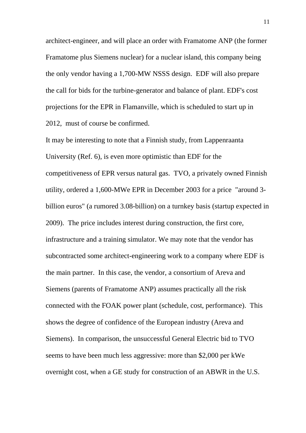architect-engineer, and will place an order with Framatome ANP (the former Framatome plus Siemens nuclear) for a nuclear island, this company being the only vendor having a 1,700-MW NSSS design. EDF will also prepare the call for bids for the turbine-generator and balance of plant. EDF's cost projections for the EPR in Flamanville, which is scheduled to start up in 2012, must of course be confirmed.

It may be interesting to note that a Finnish study, from Lappenraanta University (Ref. 6), is even more optimistic than EDF for the competitiveness of EPR versus natural gas. TVO, a privately owned Finnish utility, ordered a 1,600-MWe EPR in December 2003 for a price "around 3 billion euros" (a rumored 3.08-billion) on a turnkey basis (startup expected in 2009). The price includes interest during construction, the first core, infrastructure and a training simulator. We may note that the vendor has subcontracted some architect-engineering work to a company where EDF is the main partner. In this case, the vendor, a consortium of Areva and Siemens (parents of Framatome ANP) assumes practically all the risk connected with the FOAK power plant (schedule, cost, performance). This shows the degree of confidence of the European industry (Areva and Siemens). In comparison, the unsuccessful General Electric bid to TVO seems to have been much less aggressive: more than \$2,000 per kWe overnight cost, when a GE study for construction of an ABWR in the U.S.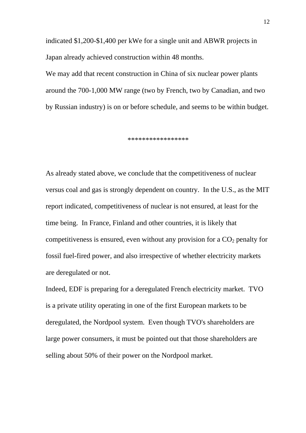indicated \$1,200-\$1,400 per kWe for a single unit and ABWR projects in Japan already achieved construction within 48 months.

We may add that recent construction in China of six nuclear power plants around the 700-1,000 MW range (two by French, two by Canadian, and two by Russian industry) is on or before schedule, and seems to be within budget.

\*\*\*\*\*\*\*\*\*\*\*\*\*\*\*\*\*

As already stated above, we conclude that the competitiveness of nuclear versus coal and gas is strongly dependent on country. In the U.S., as the MIT report indicated, competitiveness of nuclear is not ensured, at least for the time being. In France, Finland and other countries, it is likely that competitiveness is ensured, even without any provision for a  $CO<sub>2</sub>$  penalty for fossil fuel-fired power, and also irrespective of whether electricity markets are deregulated or not.

Indeed, EDF is preparing for a deregulated French electricity market. TVO is a private utility operating in one of the first European markets to be deregulated, the Nordpool system. Even though TVO's shareholders are large power consumers, it must be pointed out that those shareholders are selling about 50% of their power on the Nordpool market.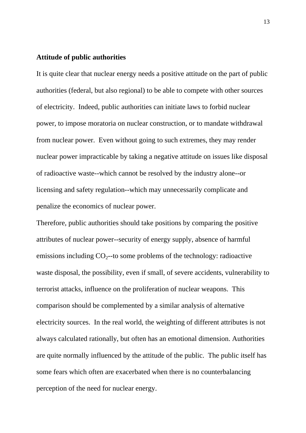#### **Attitude of public authorities**

It is quite clear that nuclear energy needs a positive attitude on the part of public authorities (federal, but also regional) to be able to compete with other sources of electricity. Indeed, public authorities can initiate laws to forbid nuclear power, to impose moratoria on nuclear construction, or to mandate withdrawal from nuclear power. Even without going to such extremes, they may render nuclear power impracticable by taking a negative attitude on issues like disposal of radioactive waste--which cannot be resolved by the industry alone--or licensing and safety regulation--which may unnecessarily complicate and penalize the economics of nuclear power.

Therefore, public authorities should take positions by comparing the positive attributes of nuclear power--security of energy supply, absence of harmful emissions including  $CO_2$ -to some problems of the technology: radioactive waste disposal, the possibility, even if small, of severe accidents, vulnerability to terrorist attacks, influence on the proliferation of nuclear weapons. This comparison should be complemented by a similar analysis of alternative electricity sources. In the real world, the weighting of different attributes is not always calculated rationally, but often has an emotional dimension. Authorities are quite normally influenced by the attitude of the public. The public itself has some fears which often are exacerbated when there is no counterbalancing perception of the need for nuclear energy.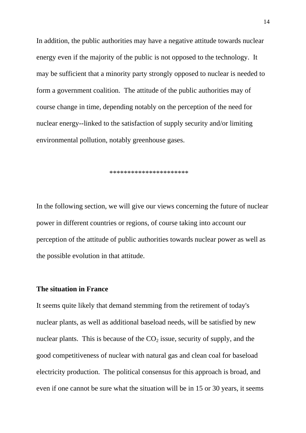In addition, the public authorities may have a negative attitude towards nuclear energy even if the majority of the public is not opposed to the technology. It may be sufficient that a minority party strongly opposed to nuclear is needed to form a government coalition. The attitude of the public authorities may of course change in time, depending notably on the perception of the need for nuclear energy--linked to the satisfaction of supply security and/or limiting environmental pollution, notably greenhouse gases.

\*\*\*\*\*\*\*\*\*\*\*\*\*\*\*\*\*\*\*\*\*\*

In the following section, we will give our views concerning the future of nuclear power in different countries or regions, of course taking into account our perception of the attitude of public authorities towards nuclear power as well as the possible evolution in that attitude.

#### **The situation in France**

It seems quite likely that demand stemming from the retirement of today's nuclear plants, as well as additional baseload needs, will be satisfied by new nuclear plants. This is because of the  $CO<sub>2</sub>$  issue, security of supply, and the good competitiveness of nuclear with natural gas and clean coal for baseload electricity production. The political consensus for this approach is broad, and even if one cannot be sure what the situation will be in 15 or 30 years, it seems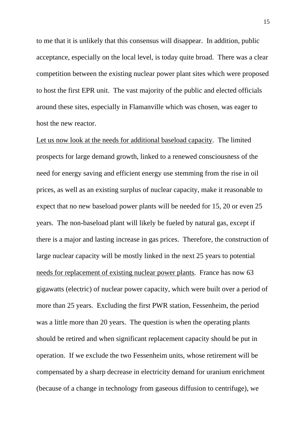to me that it is unlikely that this consensus will disappear. In addition, public acceptance, especially on the local level, is today quite broad. There was a clear competition between the existing nuclear power plant sites which were proposed to host the first EPR unit. The vast majority of the public and elected officials around these sites, especially in Flamanville which was chosen, was eager to host the new reactor.

Let us now look at the needs for additional baseload capacity. The limited prospects for large demand growth, linked to a renewed consciousness of the need for energy saving and efficient energy use stemming from the rise in oil prices, as well as an existing surplus of nuclear capacity, make it reasonable to expect that no new baseload power plants will be needed for 15, 20 or even 25 years. The non-baseload plant will likely be fueled by natural gas, except if there is a major and lasting increase in gas prices. Therefore, the construction of large nuclear capacity will be mostly linked in the next 25 years to potential needs for replacement of existing nuclear power plants. France has now 63 gigawatts (electric) of nuclear power capacity, which were built over a period of more than 25 years. Excluding the first PWR station, Fessenheim, the period was a little more than 20 years. The question is when the operating plants should be retired and when significant replacement capacity should be put in operation. If we exclude the two Fessenheim units, whose retirement will be compensated by a sharp decrease in electricity demand for uranium enrichment (because of a change in technology from gaseous diffusion to centrifuge), we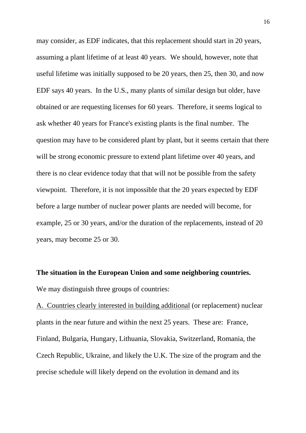may consider, as EDF indicates, that this replacement should start in 20 years, assuming a plant lifetime of at least 40 years. We should, however, note that useful lifetime was initially supposed to be 20 years, then 25, then 30, and now EDF says 40 years. In the U.S., many plants of similar design but older, have obtained or are requesting licenses for 60 years. Therefore, it seems logical to ask whether 40 years for France's existing plants is the final number. The question may have to be considered plant by plant, but it seems certain that there will be strong economic pressure to extend plant lifetime over 40 years, and there is no clear evidence today that that will not be possible from the safety viewpoint. Therefore, it is not impossible that the 20 years expected by EDF before a large number of nuclear power plants are needed will become, for example, 25 or 30 years, and/or the duration of the replacements, instead of 20 years, may become 25 or 30.

# **The situation in the European Union and some neighboring countries.**

We may distinguish three groups of countries:

A. Countries clearly interested in building additional (or replacement) nuclear plants in the near future and within the next 25 years. These are: France, Finland, Bulgaria, Hungary, Lithuania, Slovakia, Switzerland, Romania, the Czech Republic, Ukraine, and likely the U.K. The size of the program and the precise schedule will likely depend on the evolution in demand and its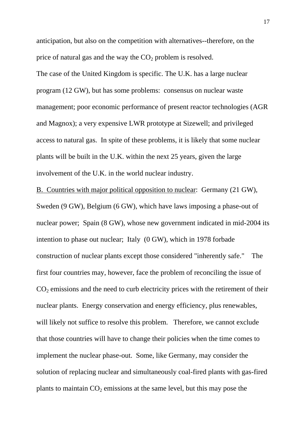anticipation, but also on the competition with alternatives--therefore, on the price of natural gas and the way the  $CO<sub>2</sub>$  problem is resolved.

The case of the United Kingdom is specific. The U.K. has a large nuclear program (12 GW), but has some problems: consensus on nuclear waste management; poor economic performance of present reactor technologies (AGR and Magnox); a very expensive LWR prototype at Sizewell; and privileged access to natural gas. In spite of these problems, it is likely that some nuclear plants will be built in the U.K. within the next 25 years, given the large involvement of the U.K. in the world nuclear industry.

B. Countries with major political opposition to nuclear: Germany (21 GW), Sweden (9 GW), Belgium (6 GW), which have laws imposing a phase-out of nuclear power; Spain (8 GW), whose new government indicated in mid-2004 its intention to phase out nuclear; Italy (0 GW), which in 1978 forbade construction of nuclear plants except those considered "inherently safe." The first four countries may, however, face the problem of reconciling the issue of  $CO<sub>2</sub>$  emissions and the need to curb electricity prices with the retirement of their nuclear plants. Energy conservation and energy efficiency, plus renewables, will likely not suffice to resolve this problem. Therefore, we cannot exclude that those countries will have to change their policies when the time comes to implement the nuclear phase-out. Some, like Germany, may consider the solution of replacing nuclear and simultaneously coal-fired plants with gas-fired plants to maintain  $CO<sub>2</sub>$  emissions at the same level, but this may pose the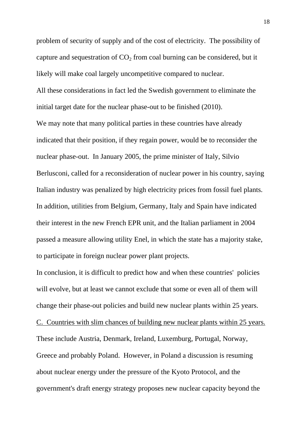problem of security of supply and of the cost of electricity. The possibility of capture and sequestration of  $CO<sub>2</sub>$  from coal burning can be considered, but it likely will make coal largely uncompetitive compared to nuclear. All these considerations in fact led the Swedish government to eliminate the initial target date for the nuclear phase-out to be finished (2010).

We may note that many political parties in these countries have already indicated that their position, if they regain power, would be to reconsider the nuclear phase-out. In January 2005, the prime minister of Italy, Silvio Berlusconi, called for a reconsideration of nuclear power in his country, saying Italian industry was penalized by high electricity prices from fossil fuel plants. In addition, utilities from Belgium, Germany, Italy and Spain have indicated their interest in the new French EPR unit, and the Italian parliament in 2004 passed a measure allowing utility Enel, in which the state has a majority stake, to participate in foreign nuclear power plant projects.

In conclusion, it is difficult to predict how and when these countries' policies will evolve, but at least we cannot exclude that some or even all of them will change their phase-out policies and build new nuclear plants within 25 years. C. Countries with slim chances of building new nuclear plants within 25 years. These include Austria, Denmark, Ireland, Luxemburg, Portugal, Norway, Greece and probably Poland. However, in Poland a discussion is resuming about nuclear energy under the pressure of the Kyoto Protocol, and the government's draft energy strategy proposes new nuclear capacity beyond the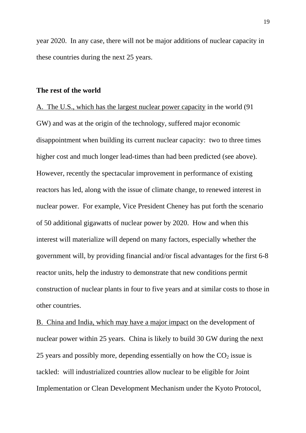year 2020. In any case, there will not be major additions of nuclear capacity in these countries during the next 25 years.

#### **The rest of the world**

A. The U.S., which has the largest nuclear power capacity in the world (91 GW) and was at the origin of the technology, suffered major economic disappointment when building its current nuclear capacity: two to three times higher cost and much longer lead-times than had been predicted (see above). However, recently the spectacular improvement in performance of existing reactors has led, along with the issue of climate change, to renewed interest in nuclear power. For example, Vice President Cheney has put forth the scenario of 50 additional gigawatts of nuclear power by 2020. How and when this interest will materialize will depend on many factors, especially whether the government will, by providing financial and/or fiscal advantages for the first 6-8 reactor units, help the industry to demonstrate that new conditions permit construction of nuclear plants in four to five years and at similar costs to those in other countries.

B. China and India, which may have a major impact on the development of nuclear power within 25 years. China is likely to build 30 GW during the next 25 years and possibly more, depending essentially on how the  $CO<sub>2</sub>$  issue is tackled: will industrialized countries allow nuclear to be eligible for Joint Implementation or Clean Development Mechanism under the Kyoto Protocol,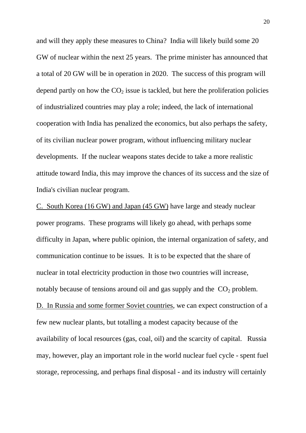and will they apply these measures to China? India will likely build some 20 GW of nuclear within the next 25 years. The prime minister has announced that a total of 20 GW will be in operation in 2020. The success of this program will depend partly on how the  $CO<sub>2</sub>$  issue is tackled, but here the proliferation policies of industrialized countries may play a role; indeed, the lack of international cooperation with India has penalized the economics, but also perhaps the safety, of its civilian nuclear power program, without influencing military nuclear developments. If the nuclear weapons states decide to take a more realistic attitude toward India, this may improve the chances of its success and the size of India's civilian nuclear program.

C. South Korea (16 GW) and Japan (45 GW) have large and steady nuclear power programs. These programs will likely go ahead, with perhaps some difficulty in Japan, where public opinion, the internal organization of safety, and communication continue to be issues. It is to be expected that the share of nuclear in total electricity production in those two countries will increase, notably because of tensions around oil and gas supply and the  $CO<sub>2</sub>$  problem. D. In Russia and some former Soviet countries, we can expect construction of a few new nuclear plants, but totalling a modest capacity because of the availability of local resources (gas, coal, oil) and the scarcity of capital. Russia may, however, play an important role in the world nuclear fuel cycle - spent fuel storage, reprocessing, and perhaps final disposal - and its industry will certainly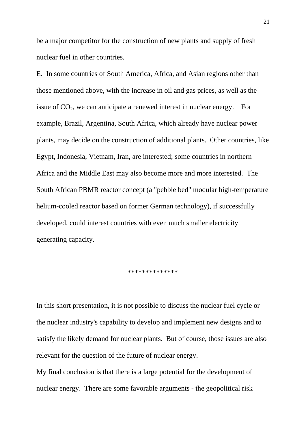be a major competitor for the construction of new plants and supply of fresh nuclear fuel in other countries.

E. In some countries of South America, Africa, and Asian regions other than those mentioned above, with the increase in oil and gas prices, as well as the issue of  $CO<sub>2</sub>$ , we can anticipate a renewed interest in nuclear energy. For example, Brazil, Argentina, South Africa, which already have nuclear power plants, may decide on the construction of additional plants. Other countries, like Egypt, Indonesia, Vietnam, Iran, are interested; some countries in northern Africa and the Middle East may also become more and more interested. The South African PBMR reactor concept (a "pebble bed" modular high-temperature helium-cooled reactor based on former German technology), if successfully developed, could interest countries with even much smaller electricity generating capacity.

#### \*\*\*\*\*\*\*\*\*\*\*\*\*\*

In this short presentation, it is not possible to discuss the nuclear fuel cycle or the nuclear industry's capability to develop and implement new designs and to satisfy the likely demand for nuclear plants. But of course, those issues are also relevant for the question of the future of nuclear energy.

My final conclusion is that there is a large potential for the development of nuclear energy. There are some favorable arguments - the geopolitical risk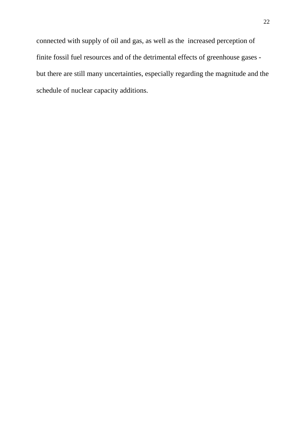connected with supply of oil and gas, as well as the increased perception of finite fossil fuel resources and of the detrimental effects of greenhouse gases but there are still many uncertainties, especially regarding the magnitude and the schedule of nuclear capacity additions.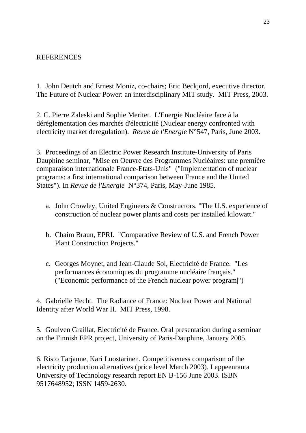#### REFERENCES

1. John Deutch and Ernest Moniz, co-chairs; Eric Beckjord, executive director. The Future of Nuclear Power: an interdisciplinary MIT study. MIT Press, 2003.

2. C. Pierre Zaleski and Sophie Meritet. L'Energie Nucléaire face à la déréglementation des marchés d'électricité (Nuclear energy confronted with electricity market deregulation). *Revue de l'Energie* N°547, Paris, June 2003.

3. Proceedings of an Electric Power Research Institute-University of Paris Dauphine seminar, "Mise en Oeuvre des Programmes Nucléaires: une première comparaison internationale France-Etats-Unis" ("Implementation of nuclear programs: a first international comparison between France and the United States"). In *Revue de l'Energie* N°374, Paris, May-June 1985.

- a. John Crowley, United Engineers & Constructors. "The U.S. experience of construction of nuclear power plants and costs per installed kilowatt."
- b. Chaim Braun, EPRI. "Comparative Review of U.S. and French Power Plant Construction Projects."
- c. Georges Moynet, and Jean-Claude Sol, Electricité de France. "Les performances économiques du programme nucléaire français." ("Economic performance of the French nuclear power program|")

4. Gabrielle Hecht. The Radiance of France: Nuclear Power and National Identity after World War II. MIT Press, 1998.

5. Goulven Graillat, Electricité de France. Oral presentation during a seminar on the Finnish EPR project, University of Paris-Dauphine, January 2005.

6. Risto Tarjanne, Kari Luostarinen. Competitiveness comparison of the electricity production alternatives (price level March 2003). Lappeenranta University of Technology research report EN B-156 June 2003. ISBN 9517648952; ISSN 1459-2630.